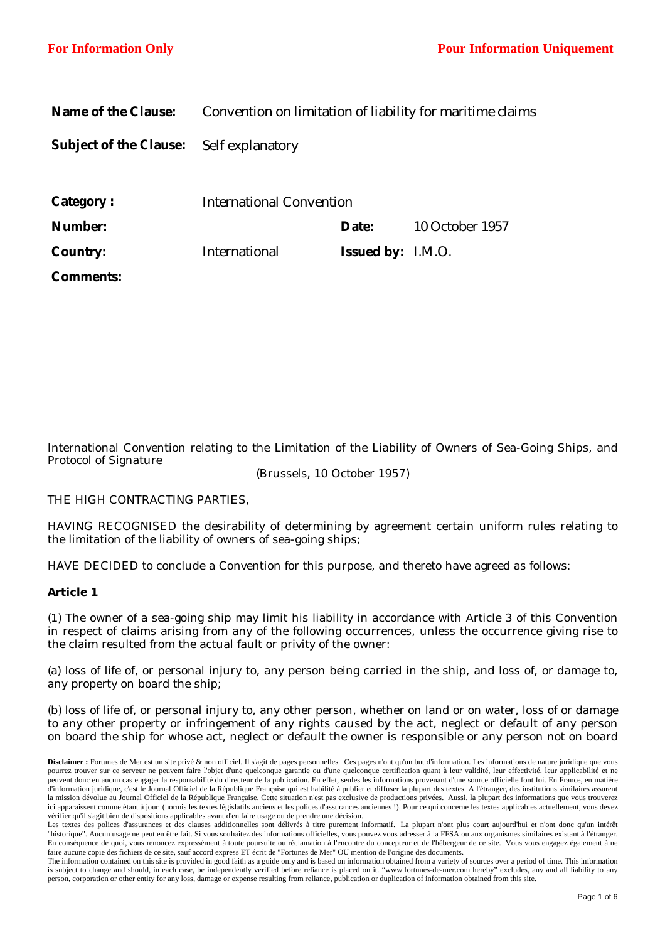| <b>Name of the Clause:</b>                     | Convention on limitation of liability for maritime claims |                          |                 |
|------------------------------------------------|-----------------------------------------------------------|--------------------------|-----------------|
| <b>Subject of the Clause:</b> Self explanatory |                                                           |                          |                 |
| <b>Category:</b>                               | <b>International Convention</b>                           |                          |                 |
| Number:                                        |                                                           | Date:                    | 10 October 1957 |
| <b>Country:</b>                                | <b>International</b>                                      | <b>Issued by:</b> I.M.O. |                 |
| <b>Comments:</b>                               |                                                           |                          |                 |

International Convention relating to the Limitation of the Liability of Owners of Sea-Going Ships, and Protocol of Signature

(Brussels, 10 October 1957)

THE HIGH CONTRACTING PARTIES,

HAVING RECOGNISED the desirability of determining by agreement certain uniform rules relating to the limitation of the liability of owners of sea-going ships;

HAVE DECIDED to conclude a Convention for this purpose, and thereto have agreed as follows:

### **Article 1**

(1) The owner of a sea-going ship may limit his liability in accordance with Article 3 of this Convention in respect of claims arising from any of the following occurrences, unless the occurrence giving rise to the claim resulted from the actual fault or privity of the owner:

(a) loss of life of, or personal injury to, any person being carried in the ship, and loss of, or damage to, any property on board the ship;

(b) loss of life of, or personal injury to, any other person, whether on land or on water, loss of or damage to any other property or infringement of any rights caused by the act, neglect or default of any person on board the ship for whose act, neglect or default the owner is responsible or any person not on board

**Disclaimer :** Fortunes de Mer est un site privé & non officiel. Il s'agit de pages personnelles. Ces pages n'ont qu'un but d'information. Les informations de nature juridique que vous pourrez trouver sur ce serveur ne peuvent faire l'objet d'une quelconque garantie ou d'une quelconque certification quant à leur validité, leur effectivité, leur applicabilité et ne peuvent donc en aucun cas engager la responsabilité du directeur de la publication. En effet, seules les informations provenant d'une source officielle font foi. En France, en matière d'information juridique, c'est le Journal Officiel de la République Française qui est habilité à publier et diffuser la plupart des textes. A l'étranger, des institutions similaires assurent la mission dévolue au Journal Officiel de la République Française. Cette situation n'est pas exclusive de productions privées. Aussi, la plupart des informations que vous trouverez ici apparaissent comme étant à jour (hormis les textes législatifs anciens et les polices d'assurances anciennes !). Pour ce qui concerne les textes applicables actuellement, vous devez vérifier qu'il s'agit bien de dispositions applicables avant d'en faire usage ou de prendre une décision.

Les textes des polices d'assurances et des clauses additionnelles sont délivrés à titre purement informatif. La plupart n'ont plus court aujourd'hui et n'ont donc qu'un intérêt "historique". Aucun usage ne peut en être fait. Si vous souhaitez des informations officielles, vous pouvez vous adresser à la FFSA ou aux organismes similaires existant à l'étranger. En conséquence de quoi, vous renoncez expressément à toute poursuite ou réclamation à l'encontre du concepteur et de l'hébergeur de ce site. Vous vous engagez également à ne faire aucune copie des fichiers de ce site, sauf accord express ET écrit de "Fortunes de Mer" OU mention de l'origine des documents.

The information contained on this site is provided in good faith as a guide only and is based on information obtained from a variety of sources over a period of time. This information is subject to change and should, in each case, be independently verified before reliance is placed on it. "www.fortunes-de-mer.com hereby" excludes, any and all liability to any person, corporation or other entity for any loss, damage or expense resulting from reliance, publication or duplication of information obtained from this site.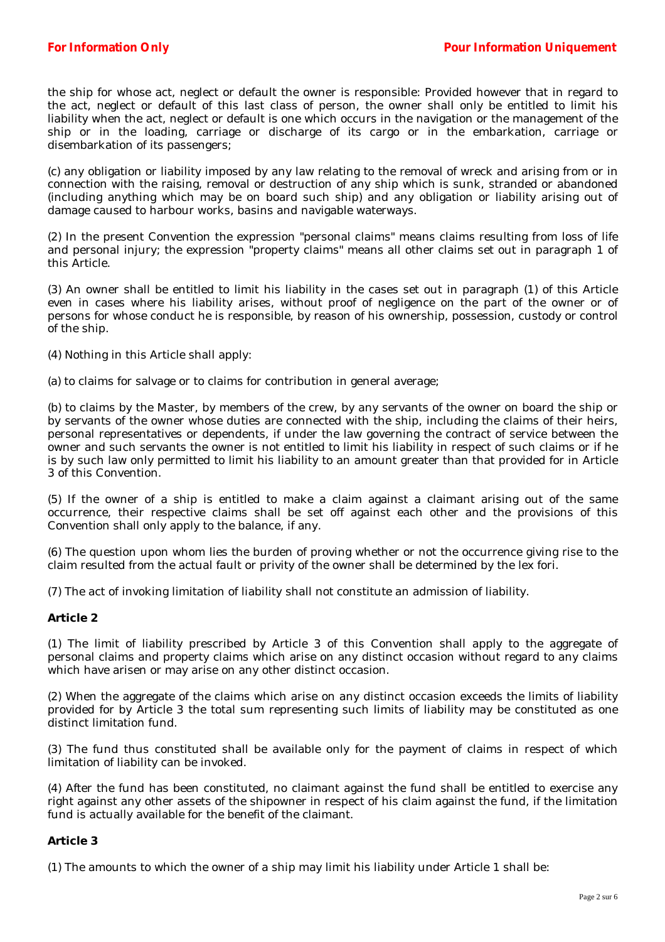the ship for whose act, neglect or default the owner is responsible: Provided however that in regard to the act, neglect or default of this last class of person, the owner shall only be entitled to limit his liability when the act, neglect or default is one which occurs in the navigation or the management of the ship or in the loading, carriage or discharge of its cargo or in the embarkation, carriage or disembarkation of its passengers;

(c) any obligation or liability imposed by any law relating to the removal of wreck and arising from or in connection with the raising, removal or destruction of any ship which is sunk, stranded or abandoned (including anything which may be on board such ship) and any obligation or liability arising out of damage caused to harbour works, basins and navigable waterways.

(2) In the present Convention the expression "personal claims" means claims resulting from loss of life and personal injury; the expression "property claims" means all other claims set out in paragraph 1 of this Article.

(3) An owner shall be entitled to limit his liability in the cases set out in paragraph (1) of this Article even in cases where his liability arises, without proof of negligence on the part of the owner or of persons for whose conduct he is responsible, by reason of his ownership, possession, custody or control of the ship.

(4) Nothing in this Article shall apply:

(a) to claims for salvage or to claims for contribution in general average;

(b) to claims by the Master, by members of the crew, by any servants of the owner on board the ship or by servants of the owner whose duties are connected with the ship, including the claims of their heirs, personal representatives or dependents, if under the law governing the contract of service between the owner and such servants the owner is not entitled to limit his liability in respect of such claims or if he is by such law only permitted to limit his liability to an amount greater than that provided for in Article 3 of this Convention.

(5) If the owner of a ship is entitled to make a claim against a claimant arising out of the same occurrence, their respective claims shall be set off against each other and the provisions of this Convention shall only apply to the balance, if any.

(6) The question upon whom lies the burden of proving whether or not the occurrence giving rise to the claim resulted from the actual fault or privity of the owner shall be determined by the lex fori.

(7) The act of invoking limitation of liability shall not constitute an admission of liability.

# **Article 2**

(1) The limit of liability prescribed by Article 3 of this Convention shall apply to the aggregate of personal claims and property claims which arise on any distinct occasion without regard to any claims which have arisen or may arise on any other distinct occasion.

(2) When the aggregate of the claims which arise on any distinct occasion exceeds the limits of liability provided for by Article 3 the total sum representing such limits of liability may be constituted as one distinct limitation fund.

(3) The fund thus constituted shall be available only for the payment of claims in respect of which limitation of liability can be invoked.

(4) After the fund has been constituted, no claimant against the fund shall be entitled to exercise any right against any other assets of the shipowner in respect of his claim against the fund, if the limitation fund is actually available for the benefit of the claimant.

# **Article 3**

(1) The amounts to which the owner of a ship may limit his liability under Article 1 shall be: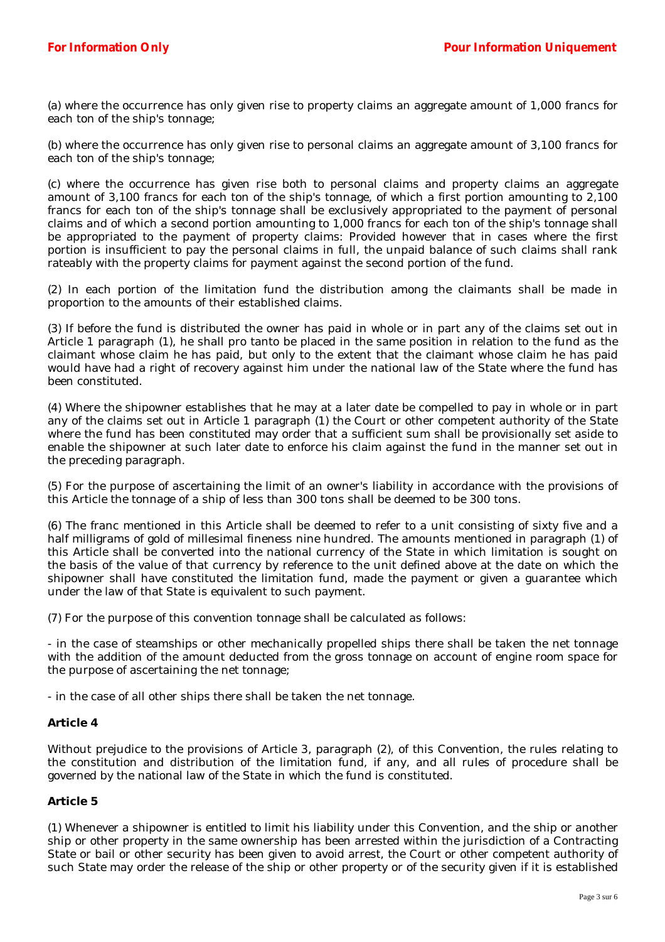(a) where the occurrence has only given rise to property claims an aggregate amount of 1,000 francs for each ton of the ship's tonnage;

(b) where the occurrence has only given rise to personal claims an aggregate amount of 3,100 francs for each ton of the ship's tonnage;

(c) where the occurrence has given rise both to personal claims and property claims an aggregate amount of 3,100 francs for each ton of the ship's tonnage, of which a first portion amounting to 2,100 francs for each ton of the ship's tonnage shall be exclusively appropriated to the payment of personal claims and of which a second portion amounting to 1,000 francs for each ton of the ship's tonnage shall be appropriated to the payment of property claims: Provided however that in cases where the first portion is insufficient to pay the personal claims in full, the unpaid balance of such claims shall rank rateably with the property claims for payment against the second portion of the fund.

(2) In each portion of the limitation fund the distribution among the claimants shall be made in proportion to the amounts of their established claims.

(3) If before the fund is distributed the owner has paid in whole or in part any of the claims set out in Article 1 paragraph (1), he shall pro tanto be placed in the same position in relation to the fund as the claimant whose claim he has paid, but only to the extent that the claimant whose claim he has paid would have had a right of recovery against him under the national law of the State where the fund has been constituted.

(4) Where the shipowner establishes that he may at a later date be compelled to pay in whole or in part any of the claims set out in Article 1 paragraph (1) the Court or other competent authority of the State where the fund has been constituted may order that a sufficient sum shall be provisionally set aside to enable the shipowner at such later date to enforce his claim against the fund in the manner set out in the preceding paragraph.

(5) For the purpose of ascertaining the limit of an owner's liability in accordance with the provisions of this Article the tonnage of a ship of less than 300 tons shall be deemed to be 300 tons.

(6) The franc mentioned in this Article shall be deemed to refer to a unit consisting of sixty five and a half milligrams of gold of millesimal fineness nine hundred. The amounts mentioned in paragraph (1) of this Article shall be converted into the national currency of the State in which limitation is sought on the basis of the value of that currency by reference to the unit defined above at the date on which the shipowner shall have constituted the limitation fund, made the payment or given a guarantee which under the law of that State is equivalent to such payment.

(7) For the purpose of this convention tonnage shall be calculated as follows:

- in the case of steamships or other mechanically propelled ships there shall be taken the net tonnage with the addition of the amount deducted from the gross tonnage on account of engine room space for the purpose of ascertaining the net tonnage;

- in the case of all other ships there shall be taken the net tonnage.

# **Article 4**

Without prejudice to the provisions of Article 3, paragraph (2), of this Convention, the rules relating to the constitution and distribution of the limitation fund, if any, and all rules of procedure shall be governed by the national law of the State in which the fund is constituted.

# **Article 5**

(1) Whenever a shipowner is entitled to limit his liability under this Convention, and the ship or another ship or other property in the same ownership has been arrested within the jurisdiction of a Contracting State or bail or other security has been given to avoid arrest, the Court or other competent authority of such State may order the release of the ship or other property or of the security given if it is established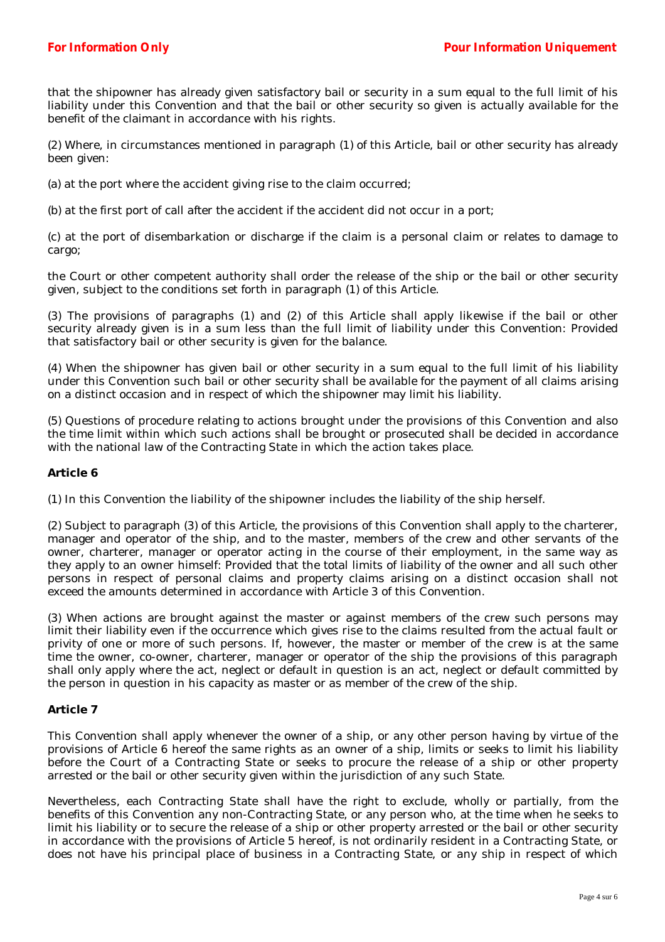that the shipowner has already given satisfactory bail or security in a sum equal to the full limit of his liability under this Convention and that the bail or other security so given is actually available for the benefit of the claimant in accordance with his rights.

(2) Where, in circumstances mentioned in paragraph (1) of this Article, bail or other security has already been given:

(a) at the port where the accident giving rise to the claim occurred;

(b) at the first port of call after the accident if the accident did not occur in a port;

(c) at the port of disembarkation or discharge if the claim is a personal claim or relates to damage to cargo;

the Court or other competent authority shall order the release of the ship or the bail or other security given, subject to the conditions set forth in paragraph (1) of this Article.

(3) The provisions of paragraphs (1) and (2) of this Article shall apply likewise if the bail or other security already given is in a sum less than the full limit of liability under this Convention: Provided that satisfactory bail or other security is given for the balance.

(4) When the shipowner has given bail or other security in a sum equal to the full limit of his liability under this Convention such bail or other security shall be available for the payment of all claims arising on a distinct occasion and in respect of which the shipowner may limit his liability.

(5) Questions of procedure relating to actions brought under the provisions of this Convention and also the time limit within which such actions shall be brought or prosecuted shall be decided in accordance with the national law of the Contracting State in which the action takes place.

### **Article 6**

(1) In this Convention the liability of the shipowner includes the liability of the ship herself.

(2) Subject to paragraph (3) of this Article, the provisions of this Convention shall apply to the charterer, manager and operator of the ship, and to the master, members of the crew and other servants of the owner, charterer, manager or operator acting in the course of their employment, in the same way as they apply to an owner himself: Provided that the total limits of liability of the owner and all such other persons in respect of personal claims and property claims arising on a distinct occasion shall not exceed the amounts determined in accordance with Article 3 of this Convention.

(3) When actions are brought against the master or against members of the crew such persons may limit their liability even if the occurrence which gives rise to the claims resulted from the actual fault or privity of one or more of such persons. If, however, the master or member of the crew is at the same time the owner, co-owner, charterer, manager or operator of the ship the provisions of this paragraph shall only apply where the act, neglect or default in question is an act, neglect or default committed by the person in question in his capacity as master or as member of the crew of the ship.

# **Article 7**

This Convention shall apply whenever the owner of a ship, or any other person having by virtue of the provisions of Article 6 hereof the same rights as an owner of a ship, limits or seeks to limit his liability before the Court of a Contracting State or seeks to procure the release of a ship or other property arrested or the bail or other security given within the jurisdiction of any such State.

Nevertheless, each Contracting State shall have the right to exclude, wholly or partially, from the benefits of this Convention any non-Contracting State, or any person who, at the time when he seeks to limit his liability or to secure the release of a ship or other property arrested or the bail or other security in accordance with the provisions of Article 5 hereof, is not ordinarily resident in a Contracting State, or does not have his principal place of business in a Contracting State, or any ship in respect of which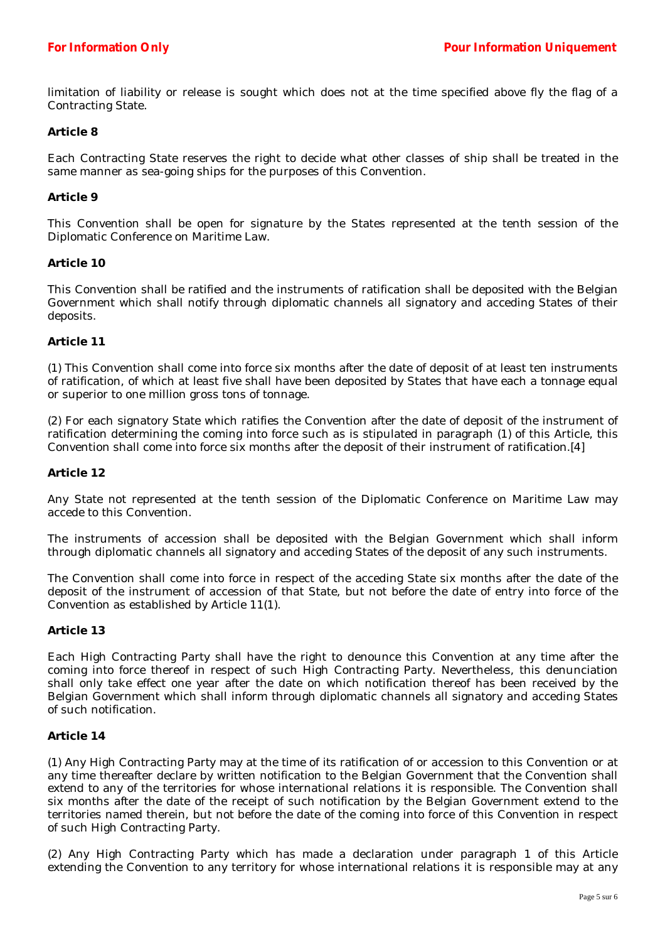limitation of liability or release is sought which does not at the time specified above fly the flag of a Contracting State.

## **Article 8**

Each Contracting State reserves the right to decide what other classes of ship shall be treated in the same manner as sea-going ships for the purposes of this Convention.

## **Article 9**

This Convention shall be open for signature by the States represented at the tenth session of the Diplomatic Conference on Maritime Law.

### **Article 10**

This Convention shall be ratified and the instruments of ratification shall be deposited with the Belgian Government which shall notify through diplomatic channels all signatory and acceding States of their deposits.

# **Article 11**

(1) This Convention shall come into force six months after the date of deposit of at least ten instruments of ratification, of which at least five shall have been deposited by States that have each a tonnage equal or superior to one million gross tons of tonnage.

(2) For each signatory State which ratifies the Convention after the date of deposit of the instrument of ratification determining the coming into force such as is stipulated in paragraph (1) of this Article, this Convention shall come into force six months after the deposit of their instrument of ratification.[4]

### **Article 12**

Any State not represented at the tenth session of the Diplomatic Conference on Maritime Law may accede to this Convention.

The instruments of accession shall be deposited with the Belgian Government which shall inform through diplomatic channels all signatory and acceding States of the deposit of any such instruments.

The Convention shall come into force in respect of the acceding State six months after the date of the deposit of the instrument of accession of that State, but not before the date of entry into force of the Convention as established by Article 11(1).

### **Article 13**

Each High Contracting Party shall have the right to denounce this Convention at any time after the coming into force thereof in respect of such High Contracting Party. Nevertheless, this denunciation shall only take effect one year after the date on which notification thereof has been received by the Belgian Government which shall inform through diplomatic channels all signatory and acceding States of such notification.

### **Article 14**

(1) Any High Contracting Party may at the time of its ratification of or accession to this Convention or at any time thereafter declare by written notification to the Belgian Government that the Convention shall extend to any of the territories for whose international relations it is responsible. The Convention shall six months after the date of the receipt of such notification by the Belgian Government extend to the territories named therein, but not before the date of the coming into force of this Convention in respect of such High Contracting Party.

(2) Any High Contracting Party which has made a declaration under paragraph 1 of this Article extending the Convention to any territory for whose international relations it is responsible may at any